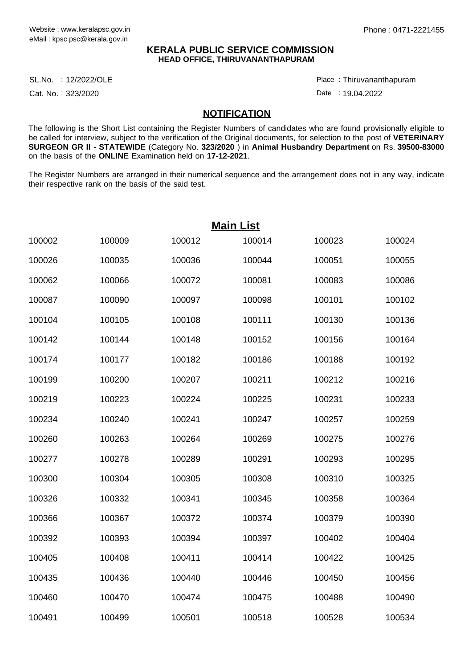### **KERALA PUBLIC SERVICE COMMISSION HEAD OFFICE, THIRUVANANTHAPURAM**

12/2022/OLE Place : SL.No.

Cat. No.: 323/2020

Thiruvananthapuram :

Date : 19.04.2022

#### **NOTIFICATION**

The following is the Short List containing the Register Numbers of candidates who are found provisionally eligible to be called for interview, subject to the verification of the Original documents, for selection to the post of **VETERINARY SURGEON GR II** - **STATEWIDE** (Category No. **323/2020** ) in **Animal Husbandry Department** on Rs. **39500-83000** on the basis of the **ONLINE** Examination held on **17-12-2021**.

The Register Numbers are arranged in their numerical sequence and the arrangement does not in any way, indicate their respective rank on the basis of the said test.

| <b>Main List</b> |        |        |        |        |        |  |  |
|------------------|--------|--------|--------|--------|--------|--|--|
| 100002           | 100009 | 100012 | 100014 | 100023 | 100024 |  |  |
| 100026           | 100035 | 100036 | 100044 | 100051 | 100055 |  |  |
| 100062           | 100066 | 100072 | 100081 | 100083 | 100086 |  |  |
| 100087           | 100090 | 100097 | 100098 | 100101 | 100102 |  |  |
| 100104           | 100105 | 100108 | 100111 | 100130 | 100136 |  |  |
| 100142           | 100144 | 100148 | 100152 | 100156 | 100164 |  |  |
| 100174           | 100177 | 100182 | 100186 | 100188 | 100192 |  |  |
| 100199           | 100200 | 100207 | 100211 | 100212 | 100216 |  |  |
| 100219           | 100223 | 100224 | 100225 | 100231 | 100233 |  |  |
| 100234           | 100240 | 100241 | 100247 | 100257 | 100259 |  |  |
| 100260           | 100263 | 100264 | 100269 | 100275 | 100276 |  |  |
| 100277           | 100278 | 100289 | 100291 | 100293 | 100295 |  |  |
| 100300           | 100304 | 100305 | 100308 | 100310 | 100325 |  |  |
| 100326           | 100332 | 100341 | 100345 | 100358 | 100364 |  |  |
| 100366           | 100367 | 100372 | 100374 | 100379 | 100390 |  |  |
| 100392           | 100393 | 100394 | 100397 | 100402 | 100404 |  |  |
| 100405           | 100408 | 100411 | 100414 | 100422 | 100425 |  |  |
| 100435           | 100436 | 100440 | 100446 | 100450 | 100456 |  |  |
| 100460           | 100470 | 100474 | 100475 | 100488 | 100490 |  |  |
| 100491           | 100499 | 100501 | 100518 | 100528 | 100534 |  |  |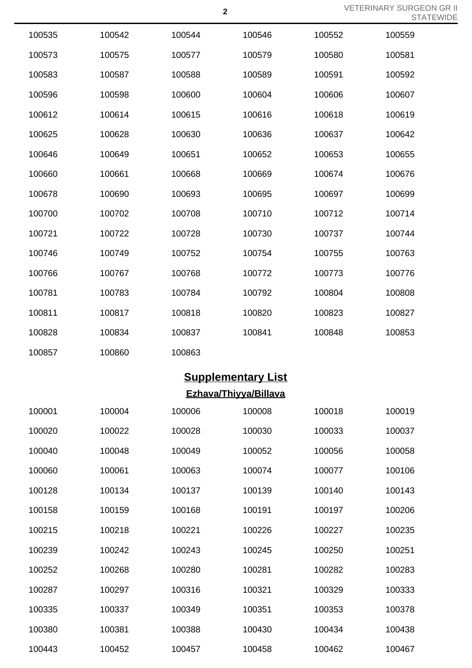VETERINARY SURGEON GR II STATEWIDE

| 100535 | 100542                    | 100544 | 100546                       | 100552 | 100559 |  |  |  |
|--------|---------------------------|--------|------------------------------|--------|--------|--|--|--|
| 100573 | 100575                    | 100577 | 100579                       | 100580 | 100581 |  |  |  |
| 100583 | 100587                    | 100588 | 100589                       | 100591 | 100592 |  |  |  |
| 100596 | 100598                    | 100600 | 100604                       | 100606 | 100607 |  |  |  |
| 100612 | 100614                    | 100615 | 100616                       | 100618 | 100619 |  |  |  |
| 100625 | 100628                    | 100630 | 100636                       | 100637 | 100642 |  |  |  |
| 100646 | 100649                    | 100651 | 100652                       | 100653 | 100655 |  |  |  |
| 100660 | 100661                    | 100668 | 100669                       | 100674 | 100676 |  |  |  |
| 100678 | 100690                    | 100693 | 100695                       | 100697 | 100699 |  |  |  |
| 100700 | 100702                    | 100708 | 100710                       | 100712 | 100714 |  |  |  |
| 100721 | 100722                    | 100728 | 100730                       | 100737 | 100744 |  |  |  |
| 100746 | 100749                    | 100752 | 100754                       | 100755 | 100763 |  |  |  |
| 100766 | 100767                    | 100768 | 100772                       | 100773 | 100776 |  |  |  |
| 100781 | 100783                    | 100784 | 100792                       | 100804 | 100808 |  |  |  |
| 100811 | 100817                    | 100818 | 100820                       | 100823 | 100827 |  |  |  |
| 100828 | 100834                    | 100837 | 100841                       | 100848 | 100853 |  |  |  |
| 100857 | 100860                    | 100863 |                              |        |        |  |  |  |
|        | <b>Supplementary List</b> |        |                              |        |        |  |  |  |
|        |                           |        | <b>Ezhava/Thiyya/Billava</b> |        |        |  |  |  |
| 100001 | 100004                    | 100006 | 100008                       | 100018 | 100019 |  |  |  |
| 100020 | 100022                    | 100028 | 100030                       | 100033 | 100037 |  |  |  |
| 100040 | 100048                    | 100049 | 100052                       | 100056 | 100058 |  |  |  |
| 100060 | 100061                    | 100063 | 100074                       | 100077 | 100106 |  |  |  |
| 100128 | 100134                    | 100137 | 100139                       | 100140 | 100143 |  |  |  |
| 100158 | 100159                    | 100168 | 100191                       | 100197 | 100206 |  |  |  |
| 100215 | 100218                    | 100221 | 100226                       | 100227 | 100235 |  |  |  |
| 100239 | 100242                    | 100243 | 100245                       | 100250 | 100251 |  |  |  |
| 100252 | 100268                    | 100280 | 100281                       | 100282 | 100283 |  |  |  |
| 100287 | 100297                    | 100316 | 100321                       | 100329 | 100333 |  |  |  |
| 100335 | 100337                    | 100349 | 100351                       | 100353 | 100378 |  |  |  |
| 100380 | 100381                    | 100388 | 100430                       | 100434 | 100438 |  |  |  |
| 100443 | 100452                    | 100457 | 100458                       | 100462 | 100467 |  |  |  |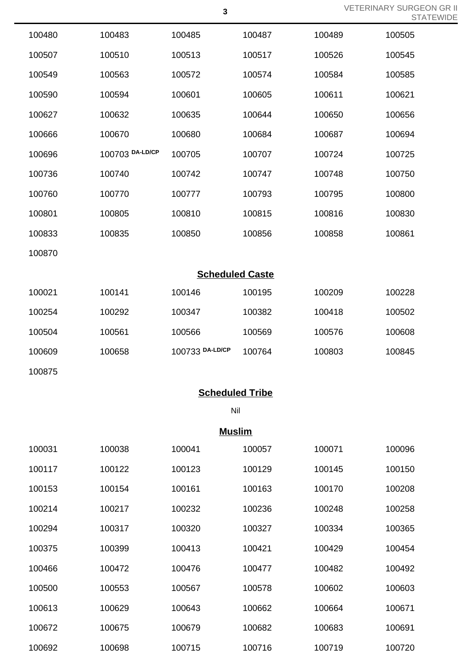VETERINARY SURGEON GR II STATEWIDE

|        |                 |                        |        |        | $\cup$ if |
|--------|-----------------|------------------------|--------|--------|-----------|
| 100480 | 100483          | 100485                 | 100487 | 100489 | 100505    |
| 100507 | 100510          | 100513                 | 100517 | 100526 | 100545    |
| 100549 | 100563          | 100572                 | 100574 | 100584 | 100585    |
| 100590 | 100594          | 100601                 | 100605 | 100611 | 100621    |
| 100627 | 100632          | 100635                 | 100644 | 100650 | 100656    |
| 100666 | 100670          | 100680                 | 100684 | 100687 | 100694    |
| 100696 | 100703 DA-LD/CP | 100705                 | 100707 | 100724 | 100725    |
| 100736 | 100740          | 100742                 | 100747 | 100748 | 100750    |
| 100760 | 100770          | 100777                 | 100793 | 100795 | 100800    |
| 100801 | 100805          | 100810                 | 100815 | 100816 | 100830    |
| 100833 | 100835          | 100850                 | 100856 | 100858 | 100861    |
| 100870 |                 |                        |        |        |           |
|        |                 | <b>Scheduled Caste</b> |        |        |           |
| 100021 | 100141          | 100146                 | 100195 | 100209 | 100228    |
| 100254 | 100292          | 100347                 | 100382 | 100418 | 100502    |
| 100504 | 100561          | 100566                 | 100569 | 100576 | 100608    |
| 100609 | 100658          | 100733 DA-LD/CP        | 100764 | 100803 | 100845    |
| 100875 |                 |                        |        |        |           |
|        |                 | <b>Scheduled Tribe</b> |        |        |           |
|        |                 | Nil                    |        |        |           |
|        |                 | <b>Muslim</b>          |        |        |           |
| 100031 | 100038          | 100041                 | 100057 | 100071 | 100096    |
| 100117 | 100122          | 100123                 | 100129 | 100145 | 100150    |
| 100153 | 100154          | 100161                 | 100163 | 100170 | 100208    |
| 100214 | 100217          | 100232                 | 100236 | 100248 | 100258    |
| 100294 | 100317          | 100320                 | 100327 | 100334 | 100365    |
| 100375 | 100399          | 100413                 | 100421 | 100429 | 100454    |
| 100466 | 100472          | 100476                 | 100477 | 100482 | 100492    |

100553 100567 100578 100602 100603

100629 100643 100662 100664 100671

100675 100679 100682 100683 100691

100698 100715 100716 100719 100720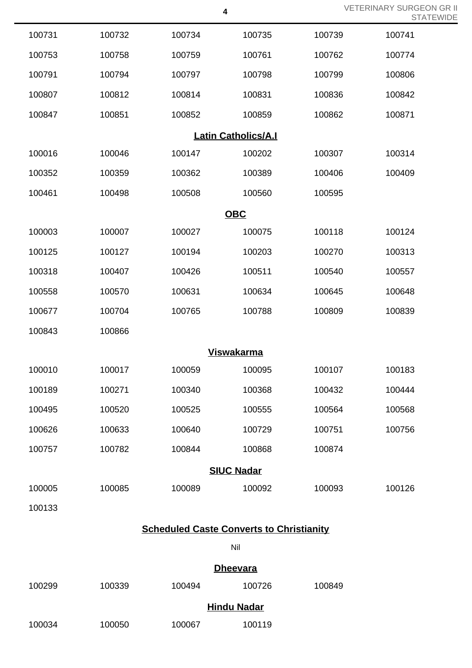VETERINARY SURGEON GR II STATEWIDE

| 100731            | 100732 | 100734 | 100735                     | 100739 | 100741 |  |  |
|-------------------|--------|--------|----------------------------|--------|--------|--|--|
| 100753            | 100758 | 100759 | 100761                     | 100762 | 100774 |  |  |
| 100791            | 100794 | 100797 | 100798                     | 100799 | 100806 |  |  |
| 100807            | 100812 | 100814 | 100831                     | 100836 | 100842 |  |  |
| 100847            | 100851 | 100852 | 100859                     | 100862 | 100871 |  |  |
|                   |        |        | <b>Latin Catholics/A.I</b> |        |        |  |  |
| 100016            | 100046 | 100147 | 100202                     | 100307 | 100314 |  |  |
| 100352            | 100359 | 100362 | 100389                     | 100406 | 100409 |  |  |
| 100461            | 100498 | 100508 | 100560                     | 100595 |        |  |  |
|                   |        |        | <b>OBC</b>                 |        |        |  |  |
| 100003            | 100007 | 100027 | 100075                     | 100118 | 100124 |  |  |
| 100125            | 100127 | 100194 | 100203                     | 100270 | 100313 |  |  |
| 100318            | 100407 | 100426 | 100511                     | 100540 | 100557 |  |  |
| 100558            | 100570 | 100631 | 100634                     | 100645 | 100648 |  |  |
| 100677            | 100704 | 100765 | 100788                     | 100809 | 100839 |  |  |
| 100843            | 100866 |        |                            |        |        |  |  |
| <b>Viswakarma</b> |        |        |                            |        |        |  |  |
| 100010            | 100017 | 100059 | 100095                     | 100107 | 100183 |  |  |
| 100189            | 100271 | 100340 | 100368                     | 100432 | 100444 |  |  |
| 100495            | 100520 | 100525 | 100555                     | 100564 | 100568 |  |  |
| 100626            | 100633 | 100640 | 100729                     | 100751 | 100756 |  |  |
| 100757            | 100782 | 100844 | 100868                     | 100874 |        |  |  |
| <b>SIUC Nadar</b> |        |        |                            |        |        |  |  |
| 100005            | 100085 | 100089 | 100092                     | 100093 | 100126 |  |  |
| 100133            |        |        |                            |        |        |  |  |

# **Scheduled Caste Converts to Christianity**

Nil

## **Dheevara**

| 100299 | 100339 | 100494             | 100726 | 100849 |  |  |
|--------|--------|--------------------|--------|--------|--|--|
|        |        | <b>Hindu Nadar</b> |        |        |  |  |
| 100034 | 100050 | 100067             | 100119 |        |  |  |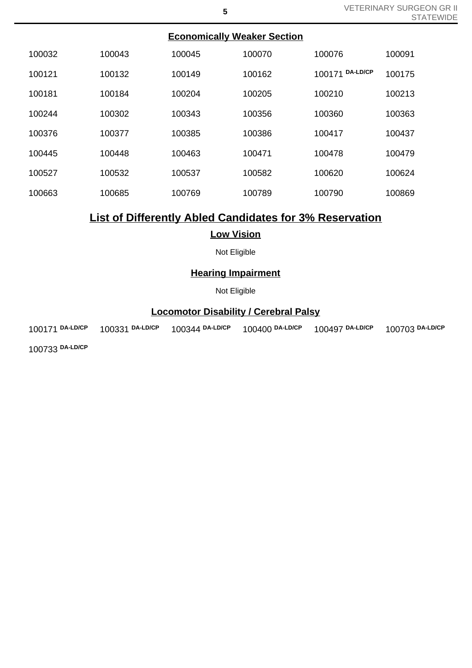| <b>Economically Weaker Section</b> |        |        |        |                           |        |  |  |
|------------------------------------|--------|--------|--------|---------------------------|--------|--|--|
| 100032                             | 100043 | 100045 | 100070 | 100076                    | 100091 |  |  |
| 100121                             | 100132 | 100149 | 100162 | <b>DA-LD/CP</b><br>100171 | 100175 |  |  |
| 100181                             | 100184 | 100204 | 100205 | 100210                    | 100213 |  |  |
| 100244                             | 100302 | 100343 | 100356 | 100360                    | 100363 |  |  |
| 100376                             | 100377 | 100385 | 100386 | 100417                    | 100437 |  |  |
| 100445                             | 100448 | 100463 | 100471 | 100478                    | 100479 |  |  |
| 100527                             | 100532 | 100537 | 100582 | 100620                    | 100624 |  |  |
| 100663                             | 100685 | 100769 | 100789 | 100790                    | 100869 |  |  |
|                                    |        |        |        |                           |        |  |  |

# **List of Differently Abled Candidates for 3% Reservation**

### **Low Vision**

Not Eligible

### **Hearing Impairment**

Not Eligible

# **Locomotor Disability / Cerebral Palsy**

100171 **DA-LD/CP** 100331 **DA-LD/CP** 100344 **DA-LD/CP** 100400 **DA-LD/CP** 100497 **DA-LD/CP** 100703 **DA-LD/CP**

100733 **DA-LD/CP**